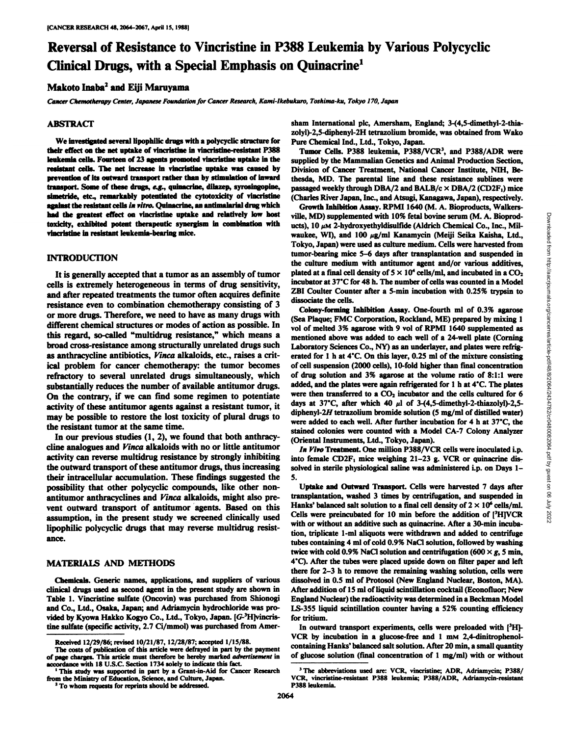# Reversal of Resistance to Vincristine in P388 Leukemia by Various Polycyclic Clinical Drugs, with a Special Emphasis on Quinacrine1

# Makoto Inaba<sup>2</sup> and Eiji Maruyama

*Cancer Chemotherapy Center, Japanese Foundation for Cancer Research, Kami-lkebukuro, Toshima-ku, Tokyo 170, Japan*

#### **ABSTRACT**

We investigated several lipophilic drugs with a polycyclic structure for Pure Chemical Ind., Ltd., Tokyo, Japan. their effect on the net uptake of vincristine in vincristine-resistant P388 leukemia cells. Fourteen of 23 agents promoted vincristine uptake in the resistant cells. The net increase in vincristine uptake was caused by prevention of its outward transport rather than by stimulation of inward transport. Some of these drugs, e.g., quinacrine, dilazep, syrosingopine, simetride, etc., remarkably potentiated the cytotoxicity of vincristine against the resistant cells in vitro. Quinacrine, an antimalarial drug which Growth Inhibition Assay. RPMI 1640 (M. A. Bioproducts, Walkershad the greatest effect on vincristine uptake and relatively low host toxicity, exhibited potent therapeutic synergism in combination with vincristine in resistant leukemia-bearing mice.

### **INTRODUCTION**

It is generally accepted that a tumor as an assembly of tumor cells is extremely heterogeneous in terms of drug sensitivity, and after repeated treatments the tumor often acquires definite resistance even to combination chemotherapy consisting of 3 or more drugs. Therefore, we need to have as many drugs with different chemical structures or modes of action as possible. In this regard, so-called "multidrug resistance," which means a broad cross-resistance among structurally unrelated drugs such as anthracycline antibiotics, Vinca alkaloids, etc., raises a crit ical problem for cancer chemotherapy: the tumor becomes refractory to several unrelated drugs simultaneously, which substantially reduces the number of available antitumor drugs. On the contrary, if we can find some regimen to potentiate activity of these antitumor agents against a resistant tumor, it may be possible to restore the lost toxicity of plural drugs to<br>were added to each well. After further incubation for 4 h at 37°C, the the resistant tumor at the same time.

In our previous studies (1, 2), we found that both anthracy cline analogues and Vinca alkaloids with no or little antitumor activity can reverse multidrug resistance by strongly inhibiting the outward transport of these antitumor drugs, thus increasing their intracellular accumulation. These findings suggested the possibility that other polycyclic compounds, like other nonantitumor anthracyclines and Vinca alkaloids, might also pre vent outward transport of antitumor agents. Based on this assumption, in the present study we screened clinically used lipophilic polycyclic drugs that may reverse multidrug resist ance.

#### **MATERIALS AND METHODS**

Chemicals. Generic names, applications, and suppliers of various clinical drugs used as second agent in the present study are shown in Table 1. Vincristine sulfate (Oncovin) was purchased from Shionogi and Co., Ltd., Osaka, Japan; and Adriamycin hydrochloride was pro vided by Kyowa Hakko Kogyo Co., Ltd., Tokyo, Japan. [C-3H]vincristine sulfate (specific activity, 2.7 Ci/mmol) was purchased from Amersham International pic, Amersham, England; 3-(4,5-dimethyl-2-thiazolyl)-2,5-diphenyl-2H tetrazolium bromide, was obtained from Wako

Tumor Cells. P388 leukemia, P388/VCR<sup>3</sup>, and P388/ADR were supplied by the Mammalian Genetics and Animal Production Section, Division of Cancer Treatment, National Cancer Institute, NIH, Bethesda, MD. The parental line and these resistance sublines were passaged weekly through DBA/2 and BALB/c  $\times$  DBA/2 (CD2F<sub>1</sub>) mice (Charles River Japan, Inc., and Atsugi, Kanagawa, Japan), respectively.

ucts), 10  $\mu$ M 2-hydroxyethyldisulfide (Aldrich Chemical Co., Inc., Milwaukee, WI), and 100 µg/ml Kanamycin (Meiji Seika Kaisha, Ltd., Tokyo, Japan) were used as culture medium. Cells were harvested from tumor-bearing mice 5-6 days after transplantation and suspended in the culture medium with antitumor agent and/or various additives, plated at a final cell density of  $5 \times 10^4$  cells/ml, and incubated in a CO<sub>2</sub> incubator at 37°C for 48 h. The number of cells was counted in a Model ZBI Coulter Counter after a 5-min incubation with 0.25% trypsin to dissociate the cells.

ville, MD) supplemented with 10% fetal bovine serum (M. A. Bioprod-<br>vaction, 10% fetal boxine serum (M. A. Bioprod-<br>Victo, MD, wat 100  $\mu$ g/ml Kanamycin (Meiji Seika Kaisha, Ltd.,<br>Tokyo, Japan) were used as culture mediu Colony-forming Inhibition Assay. One-fourth ml of 0.3% agarose (Sea Plaque; FMC Corporation, Rockland, ME) prepared by mixing 1 vol of melted 3% agarose with 9 vol of RPMI 1640 supplemented as mentioned above was added to each well of a 24-well plate (Corning Laboratory Sciences Co., NY) as an underlayer, and plates were refrig erated for 1 h at 4°C. On this layer, 0.25 ml of the mixture consisting of cell suspension (2000 cells), 10-fold higher than final concentration of drug solution and 3% agarose at the volume ratio of 8:1:1 were added, and the plates were again refrigerated for l h at 4"C. The plates were then transferred to a  $CO<sub>2</sub>$  incubator and the cells cultured for 6 days at 37°C, after which 40  $\mu$ l of 3-(4,5-dimethyl-2-thiazolyl)-2,5diphenyl-2H tetrazolium bromide solution (5 mg/ml of distilled water) stained colonies were counted with a Model CA-7 Colony Analyzer (Oriental Instruments, Ltd., Tokyo, Japan).

*In Vivo Treatment. One million P388/VCR cells were inoculated i.p.* into female  $CD2F_1$  mice weighing 21-23 g. VCR or quinacrine dissolved in sterile physiological saline was administered i.p. on Days 1- 5.

Uptake and Outward Transport. Cells were harvested 7 days after transplantation, washed 3 times by centrifugation, and suspended in Hanks' balanced salt solution to a final cell density of  $2 \times 10^6$  cells/ml. Cells were preincubated for 10 min before the addition of [3H]VCR with or without an additive such as quinacrine. After a 30-min incubation, triplicate 1-ml aliquots were withdrawn and added to centrifuge tubes containing 4 ml of cold 0.9% NaCl solution, followed by washing twice with cold 0.9% NaCl solution and centrifugation (600  $\times$  g, 5 min, 4°C). After the tubes were placed upside down on filter paper and left there for 2-3 h to remove the remaining washing solution, cells were dissolved in 0.5 ml of Protosol (New England Nuclear, Boston, MA). After addition of 15 ml of liquid scintillation cocktail (Econofluor; New England Nuclear) the radioactivity was determined in a Beckman Model LS-355 liquid scintillation counter having a 52% counting efficiency for tritium.

In outward transport experiments, cells were preloaded with [3H]-VCR by incubation in a glucose-free and  $1 \text{ mm } 2,4$ -dinitrophenolcontaining Hanks' balanced salt solution. After 20 min, a small quantity of glucose solution (final concentration of 1 mg/ml) with or without

Received 12/29/86; revised 10/21/87, 12/28/87; accepted 1/15/88.

The costs of publication of this article were defrayed in part by the payment of page charges. This article must therefore be hereby marked advertisement in rdance with 18 U.S.C. Section 1734 solely to indicate this fact.

**<sup>1</sup>This study was supported in part by a Grant-in-Aid for Cancer Research** from the Ministry of Education, Science, and Culture, Japan. *2To whom requests for reprints should be addressed.*

<sup>3</sup>The abbreviations used are: VCR, vincristine; ADR, Adriamycin; P388/ VCR, vincristine-resistant P388 leukemia; P388/ADR, Adriamycin-resistant P388 leukemia.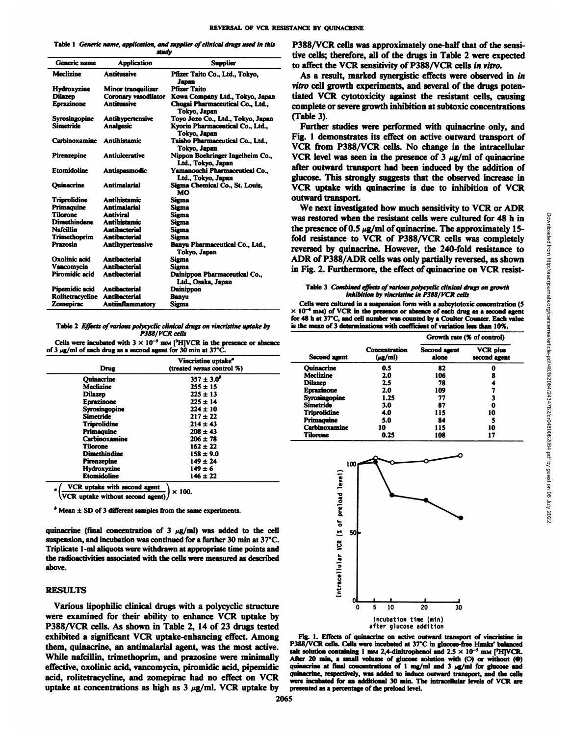Table 1 Generic name, application, and supplier of clinical drugs used in this

|                     | study                       |                                                        | t      |
|---------------------|-----------------------------|--------------------------------------------------------|--------|
| Generic name        | <b>Application</b>          | <b>Supplier</b>                                        | ŧ      |
| <b>Meclizine</b>    | <b>Antitussive</b>          | Pfizer Taito Co., Ltd., Tokvo.<br>Japan                |        |
| Hydroxyzine         | Minor tranquilizer          | <b>Pfizer Taito</b>                                    | v      |
| <b>Dilazep</b>      | <b>Coronary vasodilator</b> | Kowa Company Ltd., Tokyo, Japan                        | t      |
| <b>Eprazinone</b>   | <b>Antitussive</b>          | Chugai Pharmaceutical Co., Ltd.,<br>Tokyo, Japan       | c      |
| Syrosingopine       | Antihypertensive            | Toyo Jozo Co., Ltd., Tokyo, Japan                      |        |
| Simetride           | <b>Analgesic</b>            | Kyorin Pharmaceutical Co., Ltd.,<br>Tokyo, Japan       | F      |
| Carbinoxamine       | <b>Antihistamic</b>         | Taisho Pharmaceutical Co., Ltd.,<br>Tokyo, Japan       | ٦      |
| Pirenzepine         | <b>Antiulcerative</b>       | Nippon Boehringer Ingelheim Co.,<br>Ltd., Tokyo, Japan |        |
| <b>Etomidoline</b>  | Antispasmodic               | Yamanouchi Pharmaceutical Co<br>Ltd., Tokyo, Japan     | å<br>g |
| Ouinacrine          | <b>Antimalarial</b>         | Sigma Chemical Co., St. Louis,<br>MΩ                   |        |
| Triprolidine        | <b>Antihistamic</b>         | Sigma                                                  | O      |
| Primaquine          | <b>Antimalarial</b>         | Sigma                                                  |        |
| <b>Tilorone</b>     | <b>Antiviral</b>            | Sigma                                                  | v      |
| <b>Dimethindene</b> | <b>Antihistamic</b>         | Sigma                                                  |        |
| <b>Nafcillin</b>    | <b>Antihacterial</b>        | Sigma                                                  | t      |
| Trimethoprim        | <b>Antibacterial</b>        | Sigma                                                  | f      |
| <b>Prazosin</b>     | Antihypertensive            | Banyu Pharmaceutical Co., Ltd.,<br>Tokvo. Japan        | n      |
| Oxolinic acid       | <b>Antihacterial</b>        | Sigma                                                  | A      |
| Vancomvcin          | <b>Antibacterial</b>        | Sigma                                                  | 'n     |
| Piromidic acid      | <b>Antihacterial</b>        | Dainippon Pharmaceutical Co.,<br>Ltd., Osaka, Japan    |        |
| Pipemidic acid      | <b>Antibacterial</b>        | Dainippon                                              |        |
| Rolitetracycline    | <b>Antihacterial</b>        | Banvu                                                  |        |
| Zomepirac           | <b>Antiinflammatory</b>     | Sigma                                                  |        |

Table 2 Effects of various polycyclic clinical drugs on vincristine uptake by *P388/VCR cells*

Cells were incubated with  $3 \times 10^{-5}$  mM [<sup>3</sup>H]VCR in the presence or absence of 3  $\mu$ g/ml of each drug as a second agent for 30 min at 37°C.

|                                                                                                                                                           | Vincristine uptake <sup>®</sup>                                                                                                                       | <b>Second agent</b>                                                                                                                                            | $(\mu g/\text{m})$                                           | alone                                                   | second agent   |
|-----------------------------------------------------------------------------------------------------------------------------------------------------------|-------------------------------------------------------------------------------------------------------------------------------------------------------|----------------------------------------------------------------------------------------------------------------------------------------------------------------|--------------------------------------------------------------|---------------------------------------------------------|----------------|
| <b>Drug</b>                                                                                                                                               | (treated versus control %)                                                                                                                            | <b>Ouinacrine</b>                                                                                                                                              | 0.5                                                          | 82                                                      |                |
| <b>Ouinacrine</b><br>Meclizine<br><b>Dilazep</b><br>Eprazinone<br>Syrosingopine<br><b>Simetride</b><br><b>Triprolidine</b><br>Primaguine<br>Carbinoxamine | $357 \pm 3.0^{\circ}$<br>$255 \pm 15$<br>$225 \pm 13$<br>$225 \pm 14$<br>$224 \pm 10$<br>$217 \pm 22$<br>$214 \pm 43$<br>$208 \pm 43$<br>$206 \pm 78$ | <b>Meclizine</b><br>Dilazen<br><b>Eprazinone</b><br><b>Syrosingopine</b><br>Simetride<br><b>Triprolidine</b><br>Primaguine<br>Carbinoxamine<br><b>Tilorone</b> | 2.0<br>2.5<br>2.0<br>1.25<br>3.0<br>4.0<br>5.0<br>10<br>0.25 | 106<br>78<br>109<br>77<br>87<br>115<br>84<br>115<br>108 | 10<br>10<br>17 |
| <b>Tilorone</b><br><b>Dimethindine</b><br>Pirenzepine<br><b>Hydroxyzine</b><br><b>Etomidoline</b><br>VCR uptake with second agent                         | $162 \pm 22$<br>$158 \pm 9.0$<br>$149 \pm 24$<br>$149 \pm 6$<br>$146 \pm 22$<br>$\sim$ can                                                            | 100<br>∽<br>-<br>-                                                                                                                                             |                                                              |                                                         |                |

 $\times$  100. \VCR uptake without second agent)/

 $*$  Mean  $\pm$  SD of 3 different samples from the same experiments.

quinacrine (final concentration of 3  $\mu$ g/ml) was added to the cell suspension, and incubation was continued for a further 30 min at 37°C. Triplicate 1-ml aliquots were withdrawn at appropriate time points and the radioactivities associated with the cells were measured as described above.

#### RESULTS

Various lipophilic clinical drugs with a polycyclic structure were examined for their ability to enhance VCR uptake by P388/VCR cells. As shown in Table 2, 14 of 23 drugs tested exhibited a significant VCR uptake-enhancing effect. Among them, quinacrine, an antimalarial agent, was the most active. P388/VCR cells. Cells were incubated at 37°C in glucose-free Hanks' balanced While nafcillin, trimethoprim, and prazosine were minimally effective, oxolinic acid, vancomycin, piromidic acid, pipemidic acid, rolitetracycline, and zomepirac had no effect on VCR uptake at concentrations as high as  $3 \mu g/ml$ . VCR uptake by

Generic name Application Supplier to affect the VCR sensitivity of P388/VCR cells in vitro. P388/VCR cells was approximately one-half that of the sensi tive cells; therefore, all of the drugs in Table 2 were expected

Coronary vasodilator Kowa Company Ltd., Tokyo, Japan tiated VCR cytotoxicity against the resistant cells, causing As a result, marked synergistic effects were observed in in *vitro cell growth experiments, and several of the drugs poten* complete or severe growth inhibition at subtoxic concentrations (Table 3).

Sigma Chemical Co., St. Louis,  $VCR$  uptake with quinacrine is due to inhibition of  $VCR$ Further studies were performed with quinacrine only, and Fig. 1 demonstrates its effect on active outward transport of VCR from P388/VCR cells. No change in the intracellular VCR level was seen in the presence of  $3 \mu g/ml$  of quinacrine after outward transport had been induced by the addition of glucose. This strongly suggests that the observed increase in outward transport.

| Table 3 Combined effects of various polycyclic clinical drugs on growth |  |
|-------------------------------------------------------------------------|--|
| inhibition by vincristine in P388/VCR cells                             |  |

|                                                                                                                                                                                                                                                                                                                                                 |                                                                                                                        |                            | We next investigated how much sensitivity to VCR or ADR |
|-------------------------------------------------------------------------------------------------------------------------------------------------------------------------------------------------------------------------------------------------------------------------------------------------------------------------------------------------|------------------------------------------------------------------------------------------------------------------------|----------------------------|---------------------------------------------------------|
| was restored when the resistant cells were cultured for 48 h in                                                                                                                                                                                                                                                                                 |                                                                                                                        |                            |                                                         |
| the presence of 0.5 $\mu$ g/ml of quinacrine. The approximately 15-                                                                                                                                                                                                                                                                             |                                                                                                                        |                            |                                                         |
| fold resistance to VCR of P388/VCR cells was completely                                                                                                                                                                                                                                                                                         |                                                                                                                        |                            |                                                         |
| reversed by quinacrine. However, the 240-fold resistance to                                                                                                                                                                                                                                                                                     |                                                                                                                        |                            |                                                         |
| ADR of P388/ADR cells was only partially reversed, as shown                                                                                                                                                                                                                                                                                     |                                                                                                                        |                            |                                                         |
| in Fig. 2. Furthermore, the effect of quinacrine on VCR resist-                                                                                                                                                                                                                                                                                 |                                                                                                                        |                            |                                                         |
|                                                                                                                                                                                                                                                                                                                                                 |                                                                                                                        |                            |                                                         |
|                                                                                                                                                                                                                                                                                                                                                 | Table 3 Combined effects of various polycyclic clinical drugs on growth<br>inhibition by vincristine in P388/VCR cells |                            |                                                         |
| Cells were cultured in a suspension form with a subcytotoxic concentration (5<br>$\times$ 10 <sup>-6</sup> mM) of VCR in the presence or absence of each drug as a second agent<br>or 48 h at 37°C, and cell number was counted by a Coulter Counter. Each value<br>s the mean of 3 determinations with coefficient of variation less than 10%. |                                                                                                                        | Growth rate (% of control) |                                                         |
|                                                                                                                                                                                                                                                                                                                                                 | Concentration                                                                                                          | Second agent               | <b>VCR</b> plus                                         |
| Second agent                                                                                                                                                                                                                                                                                                                                    | $(\mu$ g/ml $)$                                                                                                        | alone                      | second agent                                            |
| <b>Ouinacrine</b>                                                                                                                                                                                                                                                                                                                               | 0.5                                                                                                                    | 82                         |                                                         |
| <b>Meclizine</b>                                                                                                                                                                                                                                                                                                                                | 2.0                                                                                                                    | 106                        |                                                         |
| <b>Dilazep</b>                                                                                                                                                                                                                                                                                                                                  | 2.5                                                                                                                    | 78                         |                                                         |
| <b>Eprazinone</b>                                                                                                                                                                                                                                                                                                                               | 2.0                                                                                                                    | 109                        |                                                         |
| Syrosingopine<br><b>Simetride</b>                                                                                                                                                                                                                                                                                                               | 1.25<br>3.0                                                                                                            | 77<br>87                   |                                                         |
| <b>Triprolidine</b>                                                                                                                                                                                                                                                                                                                             | 4.0                                                                                                                    | 115                        | 10                                                      |
| Primaguine                                                                                                                                                                                                                                                                                                                                      | 5.0                                                                                                                    | 84                         |                                                         |
| Carbinoxamine                                                                                                                                                                                                                                                                                                                                   | 10                                                                                                                     | 115                        | 10                                                      |
| <b>Tilorone</b>                                                                                                                                                                                                                                                                                                                                 | 0.25                                                                                                                   | 108                        | 17                                                      |
| 100                                                                                                                                                                                                                                                                                                                                             |                                                                                                                        |                            |                                                         |
| preload level)                                                                                                                                                                                                                                                                                                                                  |                                                                                                                        |                            |                                                         |



Fig. 1. Effects of quinacrine on active outward transport of vincristine in salt solution containing 1 mm 2,4-dinitrophenol and  $2.5 \times 10^{-5}$  mm [<sup>3</sup>H]VCR. After 20 min, a small volume of glucose solution with  $(O)$  or without  $(O)$ quinacrine at final concentrations of 1 mg/ml and 3  $\mu$ g/ml for glucose and quinacrine, respectively, was added to induce outward transport, and the cells were incubated for an additional 30 min. The intracellular levels of VCR are presented as a percentage of the preload level.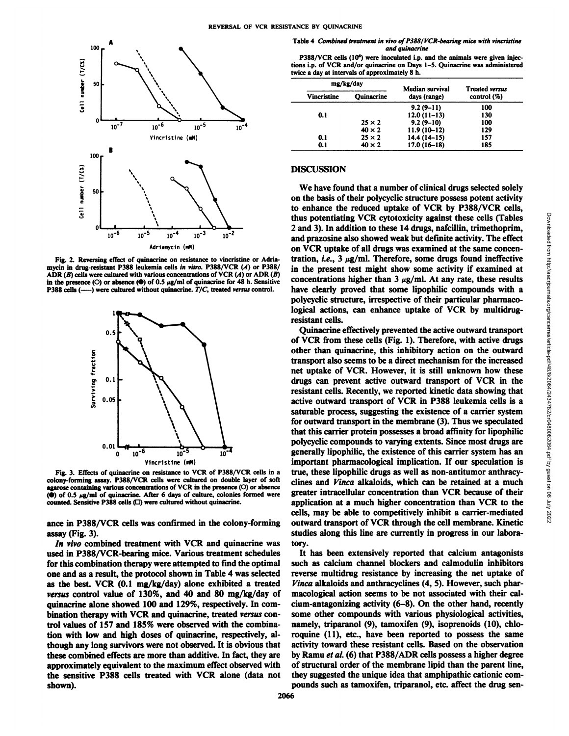

Fig. 2. Reversing effect of quinacrine on resistance to vincristine or Adria mycin in drug-resistant P388 leukemia cells in vitro. P388/VCR (A) or P388/ ADR (B) cells were cultured with various concentrations of VCR  $(A)$  or ADR  $(B)$ in the presence (O) or absence ( $\bullet$ ) of 0.5  $\mu$ g/ml of quinacrine for 48 h. Sensitive P388 cells  $($ -----) were cultured without quinacrine.  $T/C$ , treated versus control.



Fig. 3. Effects of quinacrine on resistance to VCR of P388/VCR cells in a colony-forming assay. P388/VCR cells were cultured on double layer of soft agarose containing various concentrations of VCR in the presence (O) or absence ( $\bullet$ ) of 0.5  $\mu$ g/ml of quinacrine. After 6 days of culture, colonies formed were counted. Sensitive P388 cells (O) were cultured without quinacrine.

ance in P388/VCR cells was confirmed in the colony-forming assay (Fig. 3).

*In vivo combined treatment with VCR and quinacrine was* used in P388/VCR-bearing mice. Various treatment schedules for this combination therapy were attempted to find the optimal one and as a result, the protocol shown in Table 4 was selected as the best. VCR (0.1 mg/kg/day) alone exhibited a treated *versus control value of 130%, and 40 and 80 mg/kg/day of* quinacrine alone showed 100 and 129%, respectively. In com bination therapy with VCR and quinacrine, treated versus con trol values of 157 and 185% were observed with the combina tion with low and high doses of quinacrine, respectively, al though any long survivors were not observed. It is obvious that these combined effects are more than additive. In fact, they are approximately equivalent to the maximum effect observed with the sensitive P388 cells treated with VCR alone (data not shown).

Table 4 Combined treatment in vivo of P388/VCR-bearing mice with vincristine *and quinacrine*

P388/VCR cells (10<sup>6</sup>) were inoculated i.p. and the animals were given injections i.p. of VCR and/or quinacrine on Days 1-5. Quinacrine was administered twice a day at intervals of approximately 8 h.

| mg/kg/day          |                   | Median survival | <b>Treated versus</b> |  |
|--------------------|-------------------|-----------------|-----------------------|--|
| <b>Vincristine</b> | <b>Ouinacrine</b> | days (range)    | control (%)           |  |
|                    |                   | $9.2(9-11)$     | 100                   |  |
| 0.1                |                   | $12.0(11-13)$   | 130                   |  |
|                    | $25 \times 2$     | $9.2(9-10)$     | 100                   |  |
|                    | $40 \times 2$     | $11.9(10-12)$   | 129                   |  |
| 0.1                | $25 \times 2$     | $14.4(14-15)$   | 157                   |  |
| 0.1                | $40 \times 2$     | $17.0(16-18)$   | 185                   |  |

#### **DISCUSSION**

We have found that a number of clinical drugs selected solely on the basis of their polycyclic structure possess potent activity to enhance the reduced uptake of VCR by P388/VCR cells, 2 and 3). In addition to these 14 drugs, nafcillin, trimethoprim, and prazosine also showed weak but definite activity. The effect on VCR uptake of all drugs was examined at the same concen tration, i.e.,  $3 \mu g/ml$ . Therefore, some drugs found ineffective in the present test might show some activity if examined at concentrations higher than  $3 \mu g/ml$ . At any rate, these results have clearly proved that some lipophilic compounds with a polycyclic structure, irrespective of their particular pharmaco logical actions, can enhance uptake of VCR by multidrugresistant cells.

thus potentiating VCR cytotoxicity against these cells (Tables and 3). In addition to these 14 drugs, nafellin, trinethoptim, and prazosine also showed weak but definite activity. The effect on VCR uptake of all drugs was Quinacrine effectively prevented the active outward transport of VCR from these cells (Fig. 1). Therefore, with active drugs other than quinacrine, this inhibitory action on the outward transport also seems to be a direct mechanism for the increased net uptake of VCR. However, it is still unknown how these drugs can prevent active outward transport of VCR in the resistant cells. Recently, we reported kinetic data showing that active outward transport of VCR in P388 leukemia cells is a saturable process, suggesting the existence of a carrier system for outward transport in the membrane (3). Thus we speculated that this carrier protein possesses a broad affinity for lipophilic polycyclic compounds to varying extents. Since most drugs are generally lipophilic, the existence of this carrier system has an important pharmacological implication. If our speculation is true, these lipophilic drugs as well as non-antitumor anthracyclines and Vinca alkaloids, which can be retained at a much greater intracellular concentration than VCR because of their application at a much higher concentration than VCR to the cells, may be able to competitively inhibit a carrier-mediated outward transport of VCR through the cell membrane. Kinetic studies along this line are currently in progress in our labora tory.

It has been extensively reported that calcium antagonists such as calcium channel blockers and calmodulin inhibitors reverse multidrug resistance by increasing the net uptake of *Vinca alkaloids and anthracyclines (4, 5). However, such phar* macological action seems to be not associated with their cal cium-antagonizing activity (6-8). On the other hand, recently some other compounds with various physiological activities, namely, triparanol (9), tamoxifen (9), isoprenoids (10), chloroquine (11), etc., have been reported to possess the same activity toward these resistant cells. Based on the observation by Ramu et al. (6) that P388/ADR cells possess a higher degree of structural order of the membrane lipid than the parent line, they suggested the unique idea that amphipathic cationic com pounds such as tamoxifen, triparanol, etc. affect the drug sen-